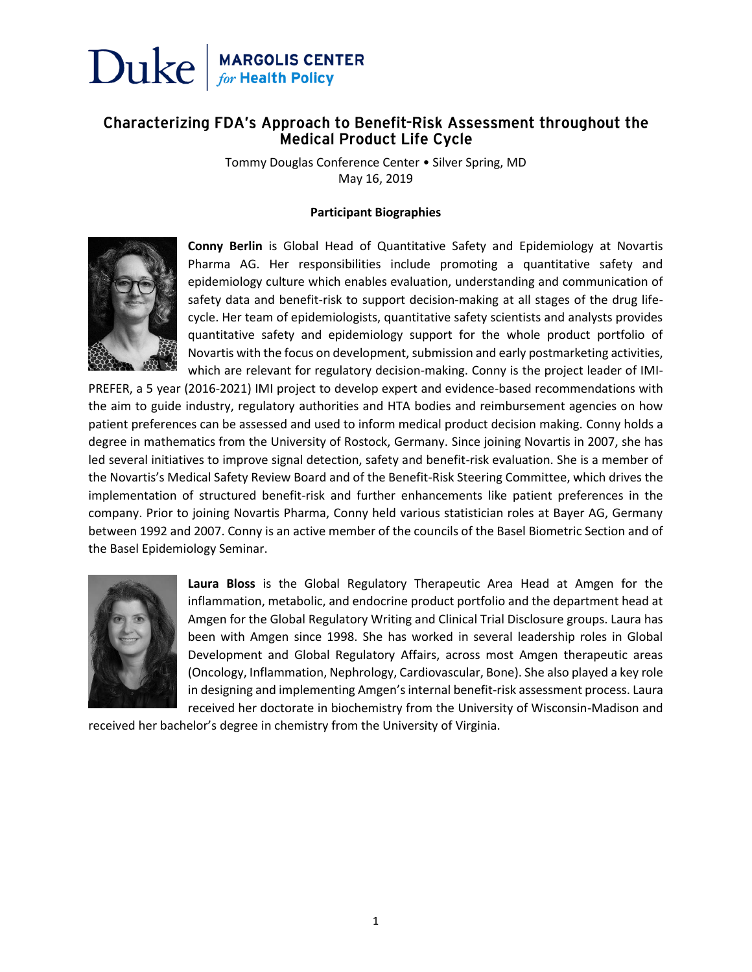

#### Characterizing FDA's Approach to Benefit-Risk Assessment throughout the **Medical Product Life Cycle**

Tommy Douglas Conference Center • Silver Spring, MD May 16, 2019

#### **Participant Biographies**



**Conny Berlin** is Global Head of Quantitative Safety and Epidemiology at Novartis Pharma AG. Her responsibilities include promoting a quantitative safety and epidemiology culture which enables evaluation, understanding and communication of safety data and benefit-risk to support decision-making at all stages of the drug lifecycle. Her team of epidemiologists, quantitative safety scientists and analysts provides quantitative safety and epidemiology support for the whole product portfolio of Novartis with the focus on development, submission and early postmarketing activities, which are relevant for regulatory decision-making. Conny is the project leader of IMI-

PREFER, a 5 year (2016-2021) IMI project to develop expert and evidence-based recommendations with the aim to guide industry, regulatory authorities and HTA bodies and reimbursement agencies on how patient preferences can be assessed and used to inform medical product decision making. Conny holds a degree in mathematics from the University of Rostock, Germany. Since joining Novartis in 2007, she has led several initiatives to improve signal detection, safety and benefit-risk evaluation. She is a member of the Novartis's Medical Safety Review Board and of the Benefit-Risk Steering Committee, which drives the implementation of structured benefit-risk and further enhancements like patient preferences in the company. Prior to joining Novartis Pharma, Conny held various statistician roles at Bayer AG, Germany between 1992 and 2007. Conny is an active member of the councils of the Basel Biometric Section and of the Basel Epidemiology Seminar.



**Laura Bloss** is the Global Regulatory Therapeutic Area Head at Amgen for the inflammation, metabolic, and endocrine product portfolio and the department head at Amgen for the Global Regulatory Writing and Clinical Trial Disclosure groups. Laura has been with Amgen since 1998. She has worked in several leadership roles in Global Development and Global Regulatory Affairs, across most Amgen therapeutic areas (Oncology, Inflammation, Nephrology, Cardiovascular, Bone). She also played a key role in designing and implementing Amgen's internal benefit-risk assessment process. Laura received her doctorate in biochemistry from the University of Wisconsin-Madison and

received her bachelor's degree in chemistry from the University of Virginia.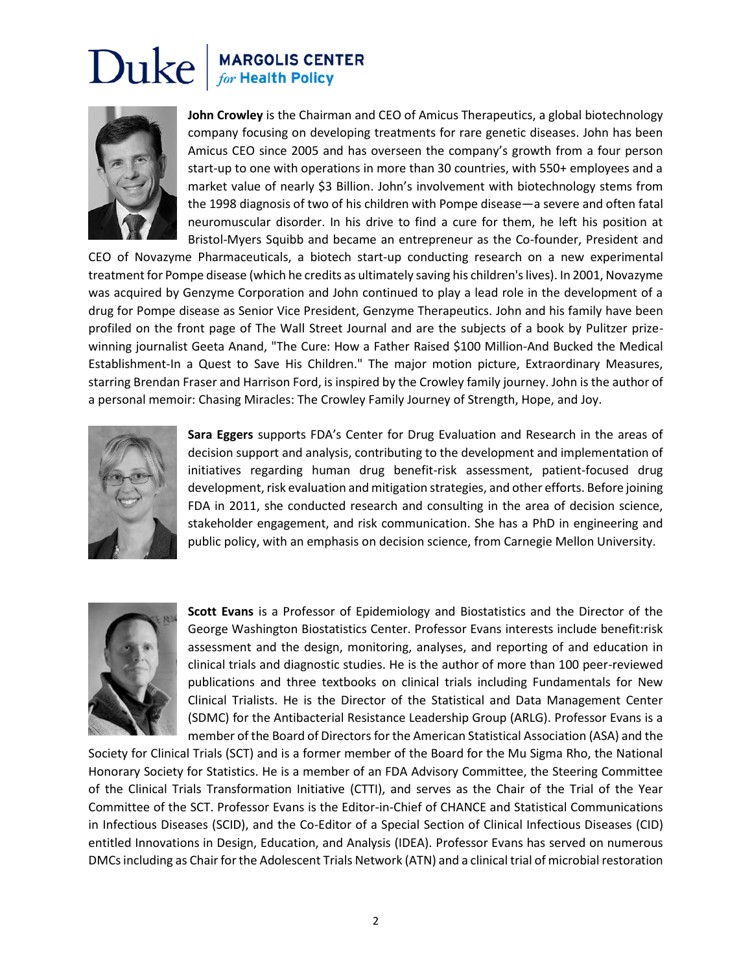

**John Crowley** is the Chairman and CEO of Amicus Therapeutics, a global biotechnology company focusing on developing treatments for rare genetic diseases. John has been Amicus CEO since 2005 and has overseen the company's growth from a four person start-up to one with operations in more than 30 countries, with 550+ employees and a market value of nearly \$3 Billion. John's involvement with biotechnology stems from the 1998 diagnosis of two of his children with Pompe disease—a severe and often fatal neuromuscular disorder. In his drive to find a cure for them, he left his position at Bristol-Myers Squibb and became an entrepreneur as the Co-founder, President and

CEO of Novazyme Pharmaceuticals, a biotech start-up conducting research on a new experimental treatment for Pompe disease (which he credits as ultimately saving his children's lives). In 2001, Novazyme was acquired by Genzyme Corporation and John continued to play a lead role in the development of a drug for Pompe disease as Senior Vice President, Genzyme Therapeutics. John and his family have been profiled on the front page of The Wall Street Journal and are the subjects of a book by Pulitzer prizewinning journalist Geeta Anand, "The Cure: How a Father Raised \$100 Million-And Bucked the Medical Establishment-In a Quest to Save His Children." The major motion picture, Extraordinary Measures, starring Brendan Fraser and Harrison Ford, is inspired by the Crowley family journey. John is the author of a personal memoir: Chasing Miracles: The Crowley Family Journey of Strength, Hope, and Joy.



**Sara Eggers** supports FDA's Center for Drug Evaluation and Research in the areas of decision support and analysis, contributing to the development and implementation of initiatives regarding human drug benefit-risk assessment, patient-focused drug development, risk evaluation and mitigation strategies, and other efforts. Before joining FDA in 2011, she conducted research and consulting in the area of decision science, stakeholder engagement, and risk communication. She has a PhD in engineering and public policy, with an emphasis on decision science, from Carnegie Mellon University.



**Scott Evans** is a Professor of Epidemiology and Biostatistics and the Director of the George Washington Biostatistics Center. Professor Evans interests include benefit:risk assessment and the design, monitoring, analyses, and reporting of and education in clinical trials and diagnostic studies. He is the author of more than 100 peer-reviewed publications and three textbooks on clinical trials including Fundamentals for New Clinical Trialists. He is the Director of the Statistical and Data Management Center (SDMC) for the Antibacterial Resistance Leadership Group (ARLG). Professor Evans is a member of the Board of Directors for the American Statistical Association (ASA) and the

Society for Clinical Trials (SCT) and is a former member of the Board for the Mu Sigma Rho, the National Honorary Society for Statistics. He is a member of an FDA Advisory Committee, the Steering Committee of the Clinical Trials Transformation Initiative (CTTI), and serves as the Chair of the Trial of the Year Committee of the SCT. Professor Evans is the Editor-in-Chief of CHANCE and Statistical Communications in Infectious Diseases (SCID), and the Co-Editor of a Special Section of Clinical Infectious Diseases (CID) entitled Innovations in Design, Education, and Analysis (IDEA). Professor Evans has served on numerous DMCs including as Chair for the Adolescent Trials Network (ATN) and a clinical trial of microbial restoration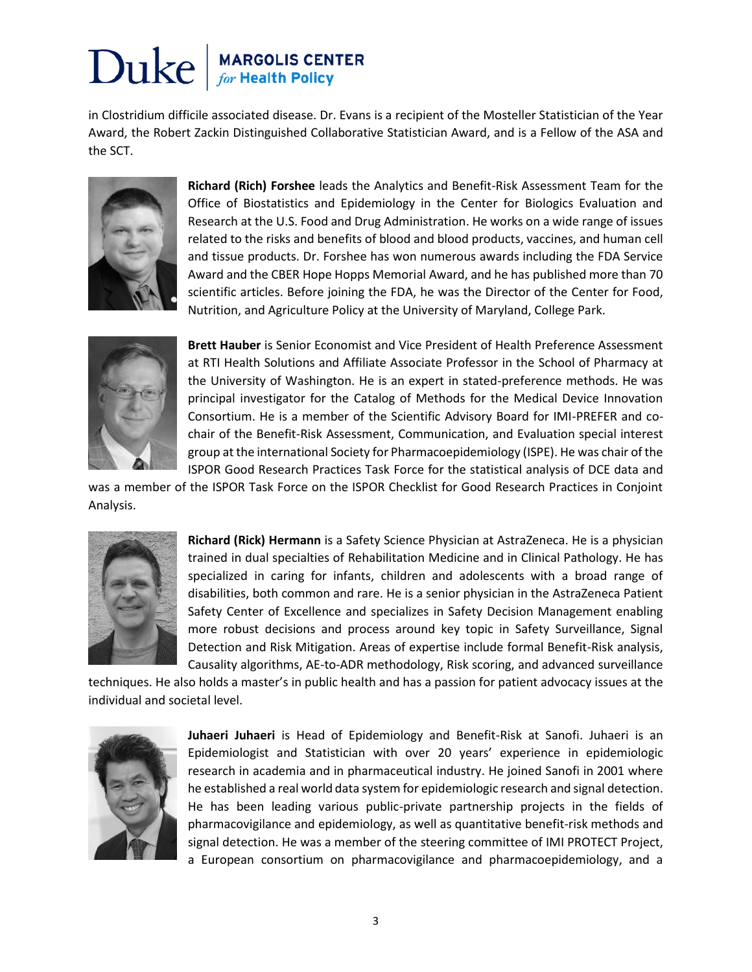#### Duke **MARGOLIS CENTER**<br>for Health Policy

in Clostridium difficile associated disease. Dr. Evans is a recipient of the Mosteller Statistician of the Year Award, the Robert Zackin Distinguished Collaborative Statistician Award, and is a Fellow of the ASA and the SCT.



**Richard (Rich) Forshee** leads the Analytics and Benefit-Risk Assessment Team for the Office of Biostatistics and Epidemiology in the Center for Biologics Evaluation and Research at the U.S. Food and Drug Administration. He works on a wide range of issues related to the risks and benefits of blood and blood products, vaccines, and human cell and tissue products. Dr. Forshee has won numerous awards including the FDA Service Award and the CBER Hope Hopps Memorial Award, and he has published more than 70 scientific articles. Before joining the FDA, he was the Director of the Center for Food, Nutrition, and Agriculture Policy at the University of Maryland, College Park.



**Brett Hauber** is Senior Economist and Vice President of Health Preference Assessment at RTI Health Solutions and Affiliate Associate Professor in the School of Pharmacy at the University of Washington. He is an expert in stated-preference methods. He was principal investigator for the Catalog of Methods for the Medical Device Innovation Consortium. He is a member of the Scientific Advisory Board for IMI-PREFER and cochair of the Benefit-Risk Assessment, Communication, and Evaluation special interest group at the international Society for Pharmacoepidemiology (ISPE). He was chair of the ISPOR Good Research Practices Task Force for the statistical analysis of DCE data and

was a member of the ISPOR Task Force on the ISPOR Checklist for Good Research Practices in Conjoint Analysis.



**Richard (Rick) Hermann** is a Safety Science Physician at AstraZeneca. He is a physician trained in dual specialties of Rehabilitation Medicine and in Clinical Pathology. He has specialized in caring for infants, children and adolescents with a broad range of disabilities, both common and rare. He is a senior physician in the AstraZeneca Patient Safety Center of Excellence and specializes in Safety Decision Management enabling more robust decisions and process around key topic in Safety Surveillance, Signal Detection and Risk Mitigation. Areas of expertise include formal Benefit-Risk analysis, Causality algorithms, AE-to-ADR methodology, Risk scoring, and advanced surveillance

techniques. He also holds a master's in public health and has a passion for patient advocacy issues at the individual and societal level.



**Juhaeri Juhaeri** is Head of Epidemiology and Benefit-Risk at Sanofi. Juhaeri is an Epidemiologist and Statistician with over 20 years' experience in epidemiologic research in academia and in pharmaceutical industry. He joined Sanofi in 2001 where he established a real world data system for epidemiologic research and signal detection. He has been leading various public-private partnership projects in the fields of pharmacovigilance and epidemiology, as well as quantitative benefit-risk methods and signal detection. He was a member of the steering committee of IMI PROTECT Project, a European consortium on pharmacovigilance and pharmacoepidemiology, and a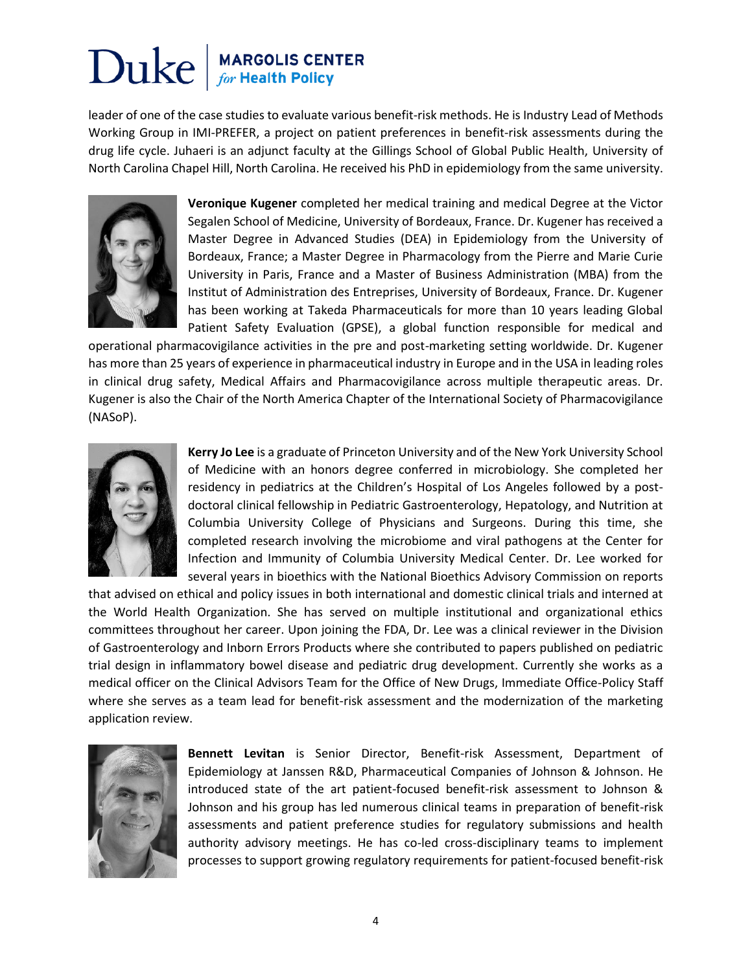### Duke **MARGOLIS CENTER**<br>for Health Policy

leader of one of the case studies to evaluate various benefit-risk methods. He is Industry Lead of Methods Working Group in IMI-PREFER, a project on patient preferences in benefit-risk assessments during the drug life cycle. Juhaeri is an adjunct faculty at the Gillings School of Global Public Health, University of North Carolina Chapel Hill, North Carolina. He received his PhD in epidemiology from the same university.



**Veronique Kugener** completed her medical training and medical Degree at the Victor Segalen School of Medicine, University of Bordeaux, France. Dr. Kugener has received a Master Degree in Advanced Studies (DEA) in Epidemiology from the University of Bordeaux, France; a Master Degree in Pharmacology from the Pierre and Marie Curie University in Paris, France and a Master of Business Administration (MBA) from the Institut of Administration des Entreprises, University of Bordeaux, France. Dr. Kugener has been working at Takeda Pharmaceuticals for more than 10 years leading Global Patient Safety Evaluation (GPSE), a global function responsible for medical and

operational pharmacovigilance activities in the pre and post-marketing setting worldwide. Dr. Kugener has more than 25 years of experience in pharmaceutical industry in Europe and in the USA in leading roles in clinical drug safety, Medical Affairs and Pharmacovigilance across multiple therapeutic areas. Dr. Kugener is also the Chair of the North America Chapter of the International Society of Pharmacovigilance (NASoP).



**Kerry Jo Lee** is a graduate of Princeton University and of the New York University School of Medicine with an honors degree conferred in microbiology. She completed her residency in pediatrics at the Children's Hospital of Los Angeles followed by a postdoctoral clinical fellowship in Pediatric Gastroenterology, Hepatology, and Nutrition at Columbia University College of Physicians and Surgeons. During this time, she completed research involving the microbiome and viral pathogens at the Center for Infection and Immunity of Columbia University Medical Center. Dr. Lee worked for several years in bioethics with the National Bioethics Advisory Commission on reports

that advised on ethical and policy issues in both international and domestic clinical trials and interned at the World Health Organization. She has served on multiple institutional and organizational ethics committees throughout her career. Upon joining the FDA, Dr. Lee was a clinical reviewer in the Division of Gastroenterology and Inborn Errors Products where she contributed to papers published on pediatric trial design in inflammatory bowel disease and pediatric drug development. Currently she works as a medical officer on the Clinical Advisors Team for the Office of New Drugs, Immediate Office-Policy Staff where she serves as a team lead for benefit-risk assessment and the modernization of the marketing application review.



**Bennett Levitan** is Senior Director, Benefit-risk Assessment, Department of Epidemiology at Janssen R&D, Pharmaceutical Companies of Johnson & Johnson. He introduced state of the art patient-focused benefit-risk assessment to Johnson & Johnson and his group has led numerous clinical teams in preparation of benefit-risk assessments and patient preference studies for regulatory submissions and health authority advisory meetings. He has co-led cross-disciplinary teams to implement processes to support growing regulatory requirements for patient-focused benefit-risk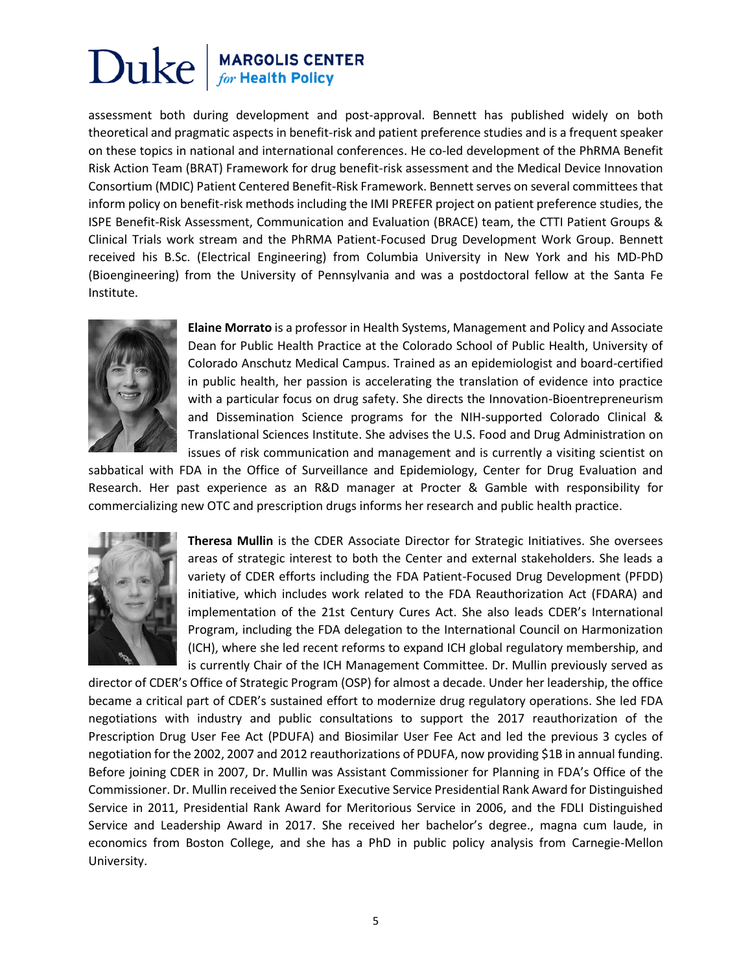assessment both during development and post-approval. Bennett has published widely on both theoretical and pragmatic aspects in benefit-risk and patient preference studies and is a frequent speaker on these topics in national and international conferences. He co-led development of the PhRMA Benefit Risk Action Team (BRAT) Framework for drug benefit-risk assessment and the Medical Device Innovation Consortium (MDIC) Patient Centered Benefit-Risk Framework. Bennett serves on several committees that inform policy on benefit-risk methods including the IMI PREFER project on patient preference studies, the ISPE Benefit-Risk Assessment, Communication and Evaluation (BRACE) team, the CTTI Patient Groups & Clinical Trials work stream and the PhRMA Patient-Focused Drug Development Work Group. Bennett received his B.Sc. (Electrical Engineering) from Columbia University in New York and his MD-PhD (Bioengineering) from the University of Pennsylvania and was a postdoctoral fellow at the Santa Fe Institute.



**Elaine Morrato** is a professor in Health Systems, Management and Policy and Associate Dean for Public Health Practice at the Colorado School of Public Health, University of Colorado Anschutz Medical Campus. Trained as an epidemiologist and board-certified in public health, her passion is accelerating the translation of evidence into practice with a particular focus on drug safety. She directs the Innovation-Bioentrepreneurism and Dissemination Science programs for the NIH-supported Colorado Clinical & Translational Sciences Institute. She advises the U.S. Food and Drug Administration on issues of risk communication and management and is currently a visiting scientist on

sabbatical with FDA in the Office of Surveillance and Epidemiology, Center for Drug Evaluation and Research. Her past experience as an R&D manager at Procter & Gamble with responsibility for commercializing new OTC and prescription drugs informs her research and public health practice.



**Theresa Mullin** is the CDER Associate Director for Strategic Initiatives. She oversees areas of strategic interest to both the Center and external stakeholders. She leads a variety of CDER efforts including the FDA Patient-Focused Drug Development (PFDD) initiative, which includes work related to the FDA Reauthorization Act (FDARA) and implementation of the 21st Century Cures Act. She also leads CDER's International Program, including the FDA delegation to the International Council on Harmonization (ICH), where she led recent reforms to expand ICH global regulatory membership, and is currently Chair of the ICH Management Committee. Dr. Mullin previously served as

director of CDER's Office of Strategic Program (OSP) for almost a decade. Under her leadership, the office became a critical part of CDER's sustained effort to modernize drug regulatory operations. She led FDA negotiations with industry and public consultations to support the 2017 reauthorization of the Prescription Drug User Fee Act (PDUFA) and Biosimilar User Fee Act and led the previous 3 cycles of negotiation for the 2002, 2007 and 2012 reauthorizations of PDUFA, now providing \$1B in annual funding. Before joining CDER in 2007, Dr. Mullin was Assistant Commissioner for Planning in FDA's Office of the Commissioner. Dr. Mullin received the Senior Executive Service Presidential Rank Award for Distinguished Service in 2011, Presidential Rank Award for Meritorious Service in 2006, and the FDLI Distinguished Service and Leadership Award in 2017. She received her bachelor's degree., magna cum laude, in economics from Boston College, and she has a PhD in public policy analysis from Carnegie-Mellon University.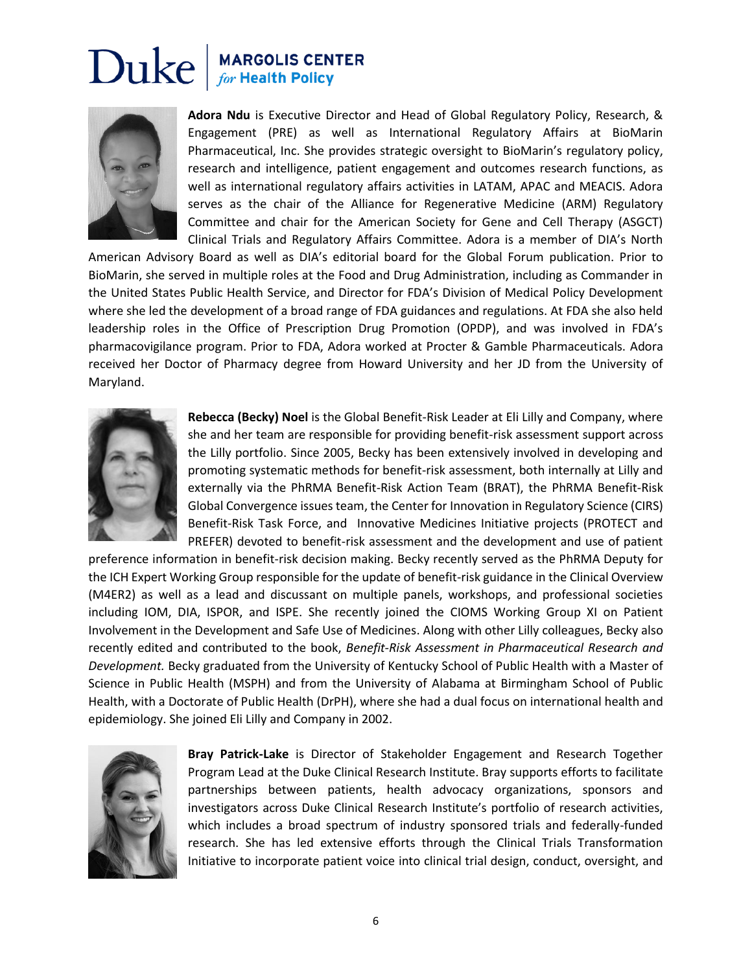

**Adora Ndu** is Executive Director and Head of Global Regulatory Policy, Research, & Engagement (PRE) as well as International Regulatory Affairs at BioMarin Pharmaceutical, Inc. She provides strategic oversight to BioMarin's regulatory policy, research and intelligence, patient engagement and outcomes research functions, as well as international regulatory affairs activities in LATAM, APAC and MEACIS. Adora serves as the chair of the Alliance for Regenerative Medicine (ARM) Regulatory Committee and chair for the American Society for Gene and Cell Therapy (ASGCT) Clinical Trials and Regulatory Affairs Committee. Adora is a member of DIA's North

American Advisory Board as well as DIA's editorial board for the Global Forum publication. Prior to BioMarin, she served in multiple roles at the Food and Drug Administration, including as Commander in the United States Public Health Service, and Director for FDA's Division of Medical Policy Development where she led the development of a broad range of FDA guidances and regulations. At FDA she also held leadership roles in the Office of Prescription Drug Promotion (OPDP), and was involved in FDA's pharmacovigilance program. Prior to FDA, Adora worked at Procter & Gamble Pharmaceuticals. Adora received her Doctor of Pharmacy degree from Howard University and her JD from the University of Maryland.



**Rebecca (Becky) Noel** is the Global Benefit-Risk Leader at Eli Lilly and Company, where she and her team are responsible for providing benefit-risk assessment support across the Lilly portfolio. Since 2005, Becky has been extensively involved in developing and promoting systematic methods for benefit-risk assessment, both internally at Lilly and externally via the PhRMA Benefit-Risk Action Team (BRAT), the PhRMA Benefit-Risk Global Convergence issues team, the Center for Innovation in Regulatory Science (CIRS) Benefit-Risk Task Force, and Innovative Medicines Initiative projects (PROTECT and PREFER) devoted to benefit-risk assessment and the development and use of patient

preference information in benefit-risk decision making. Becky recently served as the PhRMA Deputy for the ICH Expert Working Group responsible for the update of benefit-risk guidance in the Clinical Overview (M4ER2) as well as a lead and discussant on multiple panels, workshops, and professional societies including IOM, DIA, ISPOR, and ISPE. She recently joined the CIOMS Working Group XI on Patient Involvement in the Development and Safe Use of Medicines. Along with other Lilly colleagues, Becky also recently edited and contributed to the book, *Benefit-Risk Assessment in Pharmaceutical Research and Development.* Becky graduated from the University of Kentucky School of Public Health with a Master of Science in Public Health (MSPH) and from the University of Alabama at Birmingham School of Public Health, with a Doctorate of Public Health (DrPH), where she had a dual focus on international health and epidemiology. She joined Eli Lilly and Company in 2002.



**Bray Patrick-Lake** is Director of Stakeholder Engagement and Research Together Program Lead at the Duke Clinical Research Institute. Bray supports efforts to facilitate partnerships between patients, health advocacy organizations, sponsors and investigators across Duke Clinical Research Institute's portfolio of research activities, which includes a broad spectrum of industry sponsored trials and federally-funded research. She has led extensive efforts through the Clinical Trials Transformation Initiative to incorporate patient voice into clinical trial design, conduct, oversight, and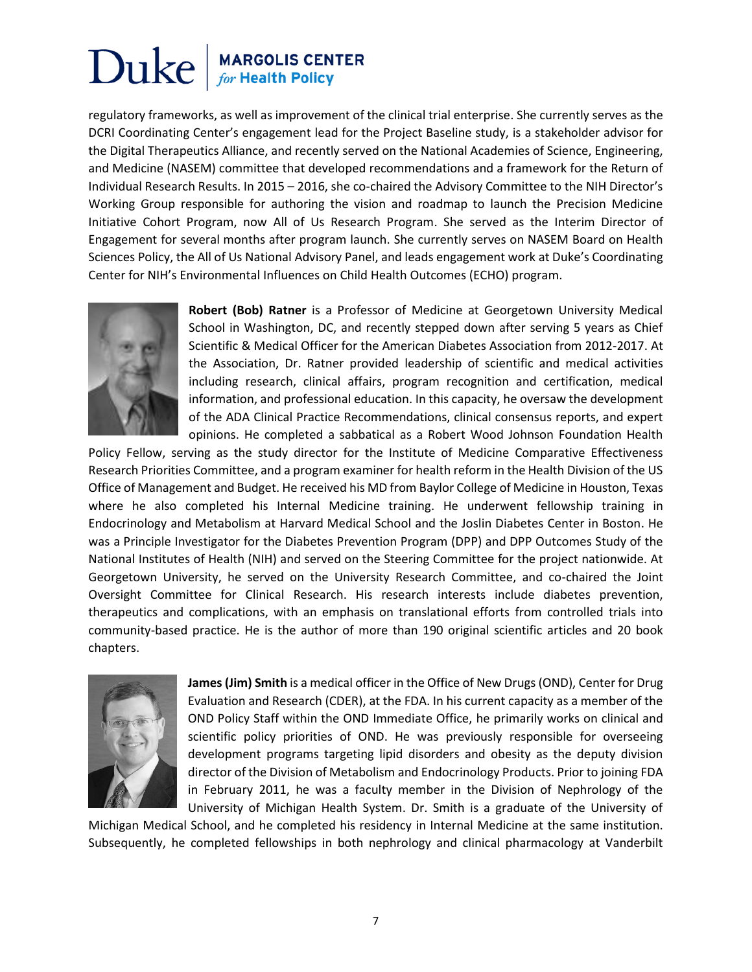regulatory frameworks, as well as improvement of the clinical trial enterprise. She currently serves as the DCRI Coordinating Center's engagement lead for the Project Baseline study, is a stakeholder advisor for the Digital Therapeutics Alliance, and recently served on the National Academies of Science, Engineering, and Medicine (NASEM) committee that developed recommendations and a framework for the Return of Individual Research Results. In 2015 – 2016, she co-chaired the Advisory Committee to the NIH Director's Working Group responsible for authoring the vision and roadmap to launch the Precision Medicine Initiative Cohort Program, now All of Us Research Program. She served as the Interim Director of Engagement for several months after program launch. She currently serves on NASEM Board on Health Sciences Policy, the All of Us National Advisory Panel, and leads engagement work at Duke's Coordinating Center for NIH's Environmental Influences on Child Health Outcomes (ECHO) program.



**Robert (Bob) Ratner** is a Professor of Medicine at Georgetown University Medical School in Washington, DC, and recently stepped down after serving 5 years as Chief Scientific & Medical Officer for the American Diabetes Association from 2012-2017. At the Association, Dr. Ratner provided leadership of scientific and medical activities including research, clinical affairs, program recognition and certification, medical information, and professional education. In this capacity, he oversaw the development of the ADA Clinical Practice Recommendations, clinical consensus reports, and expert opinions. He completed a sabbatical as a Robert Wood Johnson Foundation Health

Policy Fellow, serving as the study director for the Institute of Medicine Comparative Effectiveness Research Priorities Committee, and a program examiner for health reform in the Health Division of the US Office of Management and Budget. He received his MD from Baylor College of Medicine in Houston, Texas where he also completed his Internal Medicine training. He underwent fellowship training in Endocrinology and Metabolism at Harvard Medical School and the Joslin Diabetes Center in Boston. He was a Principle Investigator for the Diabetes Prevention Program (DPP) and DPP Outcomes Study of the National Institutes of Health (NIH) and served on the Steering Committee for the project nationwide. At Georgetown University, he served on the University Research Committee, and co-chaired the Joint Oversight Committee for Clinical Research. His research interests include diabetes prevention, therapeutics and complications, with an emphasis on translational efforts from controlled trials into community-based practice. He is the author of more than 190 original scientific articles and 20 book chapters.



**James(Jim) Smith** is a medical officer in the Office of New Drugs (OND), Center for Drug Evaluation and Research (CDER), at the FDA. In his current capacity as a member of the OND Policy Staff within the OND Immediate Office, he primarily works on clinical and scientific policy priorities of OND. He was previously responsible for overseeing development programs targeting lipid disorders and obesity as the deputy division director of the Division of Metabolism and Endocrinology Products. Prior to joining FDA in February 2011, he was a faculty member in the Division of Nephrology of the University of Michigan Health System. Dr. Smith is a graduate of the University of

Michigan Medical School, and he completed his residency in Internal Medicine at the same institution. Subsequently, he completed fellowships in both nephrology and clinical pharmacology at Vanderbilt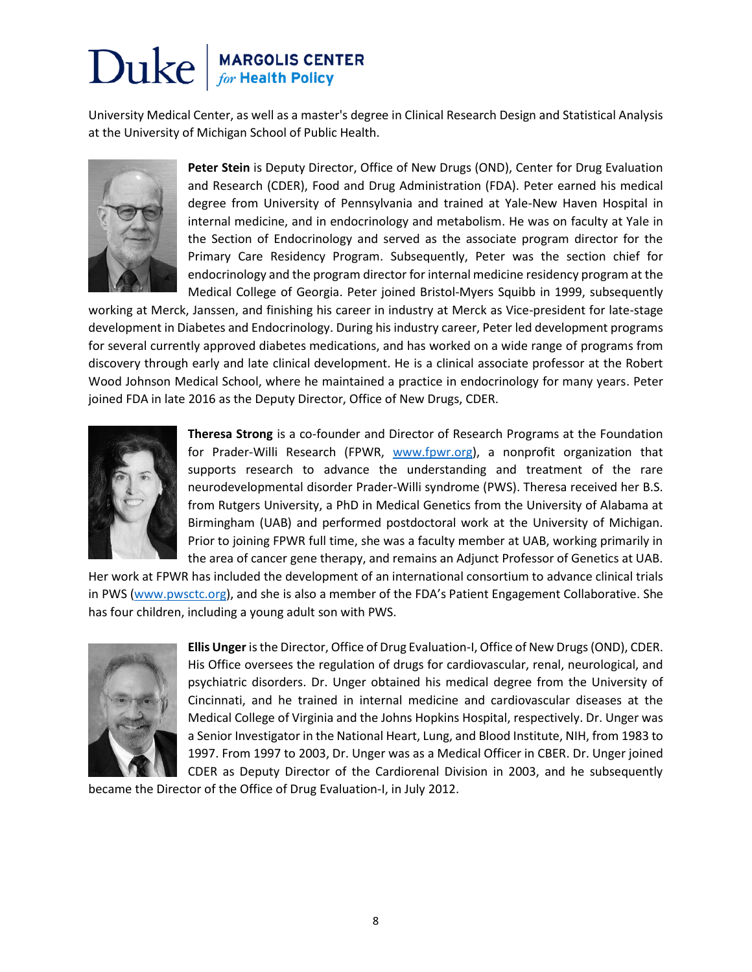University Medical Center, as well as a master's degree in Clinical Research Design and Statistical Analysis at the University of Michigan School of Public Health.



**Peter Stein** is Deputy Director, Office of New Drugs (OND), Center for Drug Evaluation and Research (CDER), Food and Drug Administration (FDA). Peter earned his medical degree from University of Pennsylvania and trained at Yale-New Haven Hospital in internal medicine, and in endocrinology and metabolism. He was on faculty at Yale in the Section of Endocrinology and served as the associate program director for the Primary Care Residency Program. Subsequently, Peter was the section chief for endocrinology and the program director for internal medicine residency program at the Medical College of Georgia. Peter joined Bristol-Myers Squibb in 1999, subsequently

working at Merck, Janssen, and finishing his career in industry at Merck as Vice-president for late-stage development in Diabetes and Endocrinology. During his industry career, Peter led development programs for several currently approved diabetes medications, and has worked on a wide range of programs from discovery through early and late clinical development. He is a clinical associate professor at the Robert Wood Johnson Medical School, where he maintained a practice in endocrinology for many years. Peter joined FDA in late 2016 as the Deputy Director, Office of New Drugs, CDER.



**Theresa Strong** is a co-founder and Director of Research Programs at the Foundation for Prader-Willi Research (FPWR, [www.fpwr.org\)](http://www.fpwr.org/), a nonprofit organization that supports research to advance the understanding and treatment of the rare neurodevelopmental disorder Prader-Willi syndrome (PWS). Theresa received her B.S. from Rutgers University, a PhD in Medical Genetics from the University of Alabama at Birmingham (UAB) and performed postdoctoral work at the University of Michigan. Prior to joining FPWR full time, she was a faculty member at UAB, working primarily in the area of cancer gene therapy, and remains an Adjunct Professor of Genetics at UAB.

Her work at FPWR has included the development of an international consortium to advance clinical trials in PWS [\(www.pwsctc.org](http://www.pwsctc.org/)), and she is also a member of the FDA's Patient Engagement Collaborative. She has four children, including a young adult son with PWS.



**Ellis Unger** is the Director, Office of Drug Evaluation-I, Office of New Drugs (OND), CDER. His Office oversees the regulation of drugs for cardiovascular, renal, neurological, and psychiatric disorders. Dr. Unger obtained his medical degree from the University of Cincinnati, and he trained in internal medicine and cardiovascular diseases at the Medical College of Virginia and the Johns Hopkins Hospital, respectively. Dr. Unger was a Senior Investigator in the National Heart, Lung, and Blood Institute, NIH, from 1983 to 1997. From 1997 to 2003, Dr. Unger was as a Medical Officer in CBER. Dr. Unger joined CDER as Deputy Director of the Cardiorenal Division in 2003, and he subsequently

became the Director of the Office of Drug Evaluation-I, in July 2012.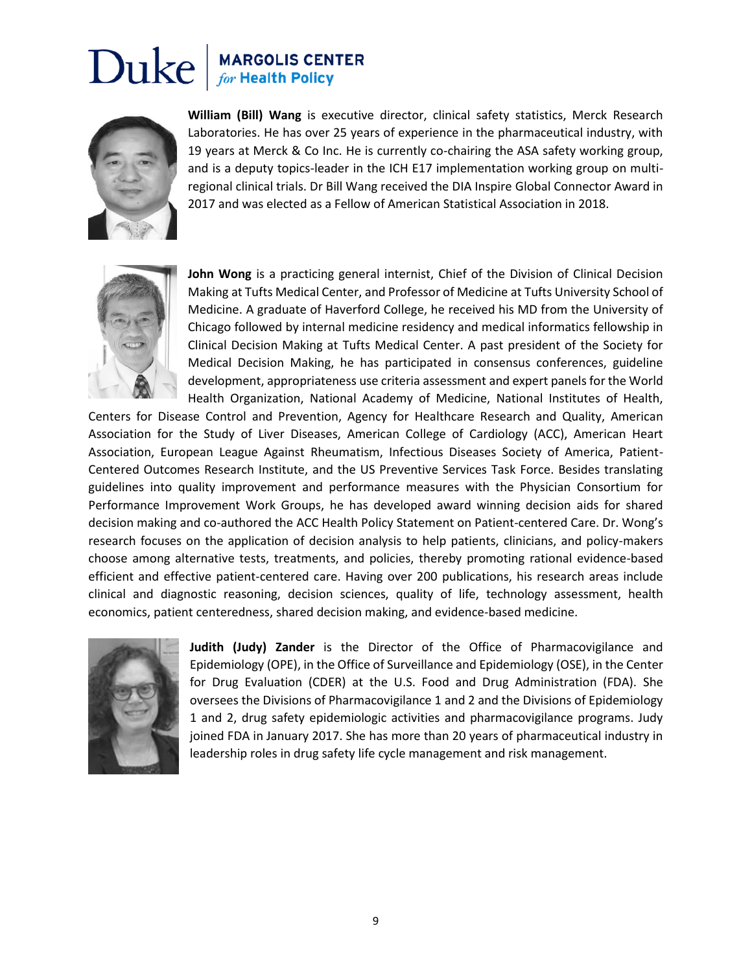

**William (Bill) Wang** is executive director, clinical safety statistics, Merck Research Laboratories. He has over 25 years of experience in the pharmaceutical industry, with 19 years at Merck & Co Inc. He is currently co-chairing the ASA safety working group, and is a deputy topics-leader in the ICH E17 implementation working group on multiregional clinical trials. Dr Bill Wang received the DIA Inspire Global Connector Award in 2017 and was elected as a Fellow of American Statistical Association in 2018.



**John Wong** is a practicing general internist, Chief of the Division of Clinical Decision Making at Tufts Medical Center, and Professor of Medicine at Tufts University School of Medicine. A graduate of Haverford College, he received his MD from the University of Chicago followed by internal medicine residency and medical informatics fellowship in Clinical Decision Making at Tufts Medical Center. A past president of the Society for Medical Decision Making, he has participated in consensus conferences, guideline development, appropriateness use criteria assessment and expert panels for the World Health Organization, National Academy of Medicine, National Institutes of Health,

Centers for Disease Control and Prevention, Agency for Healthcare Research and Quality, American Association for the Study of Liver Diseases, American College of Cardiology (ACC), American Heart Association, European League Against Rheumatism, Infectious Diseases Society of America, Patient-Centered Outcomes Research Institute, and the US Preventive Services Task Force. Besides translating guidelines into quality improvement and performance measures with the Physician Consortium for Performance Improvement Work Groups, he has developed award winning decision aids for shared decision making and co-authored the ACC Health Policy Statement on Patient-centered Care. Dr. Wong's research focuses on the application of decision analysis to help patients, clinicians, and policy-makers choose among alternative tests, treatments, and policies, thereby promoting rational evidence-based efficient and effective patient-centered care. Having over 200 publications, his research areas include clinical and diagnostic reasoning, decision sciences, quality of life, technology assessment, health economics, patient centeredness, shared decision making, and evidence-based medicine.



**Judith (Judy) Zander** is the Director of the Office of Pharmacovigilance and Epidemiology (OPE), in the Office of Surveillance and Epidemiology (OSE), in the Center for Drug Evaluation (CDER) at the U.S. Food and Drug Administration (FDA). She oversees the Divisions of Pharmacovigilance 1 and 2 and the Divisions of Epidemiology 1 and 2, drug safety epidemiologic activities and pharmacovigilance programs. Judy joined FDA in January 2017. She has more than 20 years of pharmaceutical industry in leadership roles in drug safety life cycle management and risk management.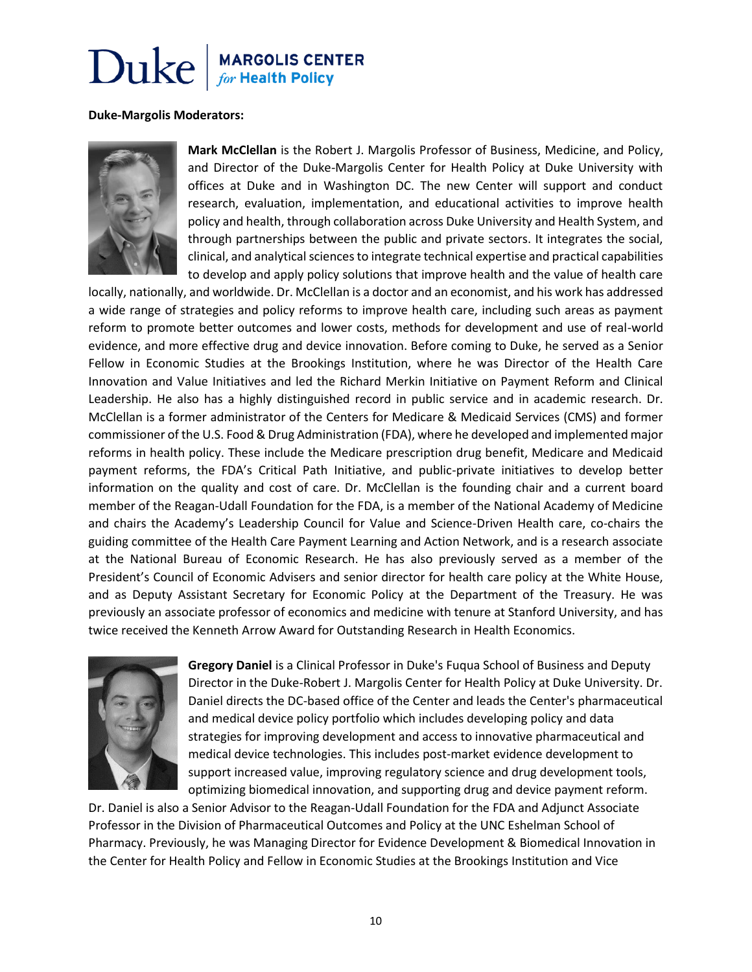#### **Duke-Margolis Moderators:**



**Mark McClellan** is the Robert J. Margolis Professor of Business, Medicine, and Policy, and Director of the Duke-Margolis Center for Health Policy at Duke University with offices at Duke and in Washington DC. The new Center will support and conduct research, evaluation, implementation, and educational activities to improve health policy and health, through collaboration across Duke University and Health System, and through partnerships between the public and private sectors. It integrates the social, clinical, and analytical sciences to integrate technical expertise and practical capabilities to develop and apply policy solutions that improve health and the value of health care

locally, nationally, and worldwide. Dr. McClellan is a doctor and an economist, and his work has addressed a wide range of strategies and policy reforms to improve health care, including such areas as payment reform to promote better outcomes and lower costs, methods for development and use of real-world evidence, and more effective drug and device innovation. Before coming to Duke, he served as a Senior Fellow in Economic Studies at the Brookings Institution, where he was Director of the Health Care Innovation and Value Initiatives and led the Richard Merkin Initiative on Payment Reform and Clinical Leadership. He also has a highly distinguished record in public service and in academic research. Dr. McClellan is a former administrator of the Centers for Medicare & Medicaid Services (CMS) and former commissioner of the U.S. Food & Drug Administration (FDA), where he developed and implemented major reforms in health policy. These include the Medicare prescription drug benefit, Medicare and Medicaid payment reforms, the FDA's Critical Path Initiative, and public-private initiatives to develop better information on the quality and cost of care. Dr. McClellan is the founding chair and a current board member of the Reagan-Udall Foundation for the FDA, is a member of the National Academy of Medicine and chairs the Academy's Leadership Council for Value and Science-Driven Health care, co-chairs the guiding committee of the Health Care Payment Learning and Action Network, and is a research associate at the National Bureau of Economic Research. He has also previously served as a member of the President's Council of Economic Advisers and senior director for health care policy at the White House, and as Deputy Assistant Secretary for Economic Policy at the Department of the Treasury. He was previously an associate professor of economics and medicine with tenure at Stanford University, and has twice received the Kenneth Arrow Award for Outstanding Research in Health Economics.



**Gregory Daniel** is a Clinical Professor in Duke's Fuqua School of Business and Deputy Director in the Duke-Robert J. Margolis Center for Health Policy at Duke University. Dr. Daniel directs the DC-based office of the Center and leads the Center's pharmaceutical and medical device policy portfolio which includes developing policy and data strategies for improving development and access to innovative pharmaceutical and medical device technologies. This includes post-market evidence development to support increased value, improving regulatory science and drug development tools, optimizing biomedical innovation, and supporting drug and device payment reform.

Dr. Daniel is also a Senior Advisor to the Reagan-Udall Foundation for the FDA and Adjunct Associate Professor in the Division of Pharmaceutical Outcomes and Policy at the UNC Eshelman School of Pharmacy. Previously, he was Managing Director for Evidence Development & Biomedical Innovation in the Center for Health Policy and Fellow in Economic Studies at the Brookings Institution and Vice